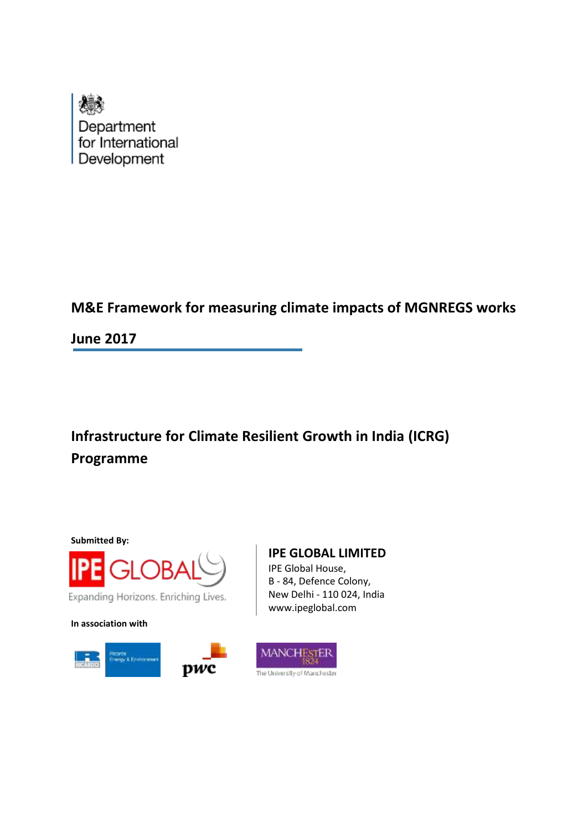

# **M&E Framework for measuring climate impacts of MGNREGS works**

**June 2017**

**Infrastructure for Climate Resilient Growth in India (ICRG) Programme**

**Submitted By:**



**In association with**



## **IPE GLOBAL LIMITED**

IPE Global House, B - 84, Defence Colony, New Delhi - 110 024, India www.ipeglobal.com

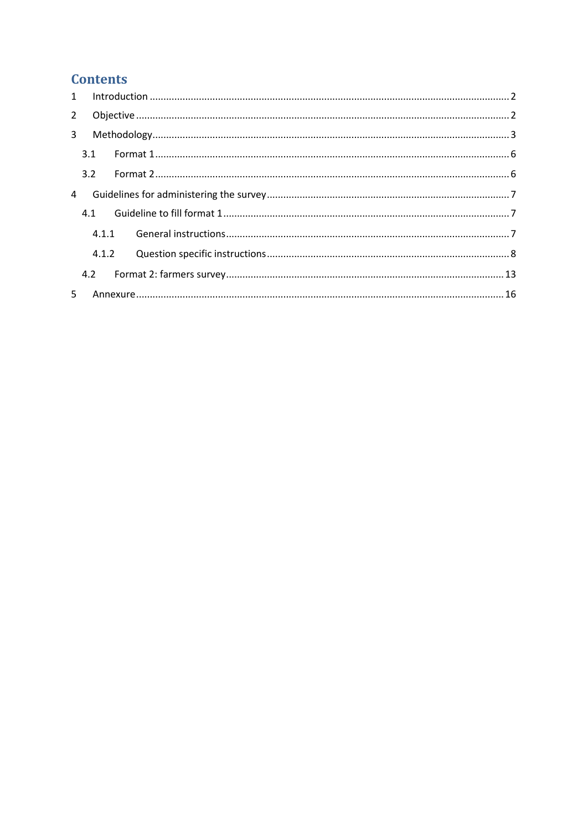## **Contents**

| $2^{\circ}$    |     |       |  |  |  |  |  |
|----------------|-----|-------|--|--|--|--|--|
| 3 <sup>7</sup> |     |       |  |  |  |  |  |
|                | 3.1 |       |  |  |  |  |  |
|                | 3.2 |       |  |  |  |  |  |
| 4              |     |       |  |  |  |  |  |
|                | 4.1 |       |  |  |  |  |  |
|                |     |       |  |  |  |  |  |
|                |     | 4.1.2 |  |  |  |  |  |
|                |     |       |  |  |  |  |  |
| 5.             |     |       |  |  |  |  |  |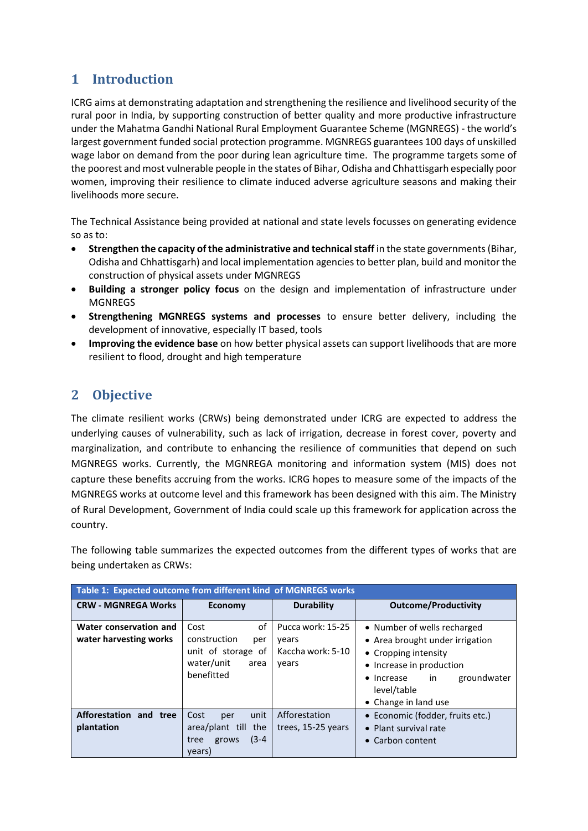## <span id="page-2-0"></span>**1 Introduction**

ICRG aims at demonstrating adaptation and strengthening the resilience and livelihood security of the rural poor in India, by supporting construction of better quality and more productive infrastructure under the Mahatma Gandhi National Rural Employment Guarantee Scheme (MGNREGS) - the world's largest government funded social protection programme. MGNREGS guarantees 100 days of unskilled wage labor on demand from the poor during lean agriculture time. The programme targets some of the poorest and most vulnerable people in the states of Bihar, Odisha and Chhattisgarh especially poor women, improving their resilience to climate induced adverse agriculture seasons and making their livelihoods more secure.

The Technical Assistance being provided at national and state levels focusses on generating evidence so as to:

- **Strengthen the capacity of the administrative and technical staff** in the state governments (Bihar, Odisha and Chhattisgarh) and local implementation agencies to better plan, build and monitor the construction of physical assets under MGNREGS
- **Building a stronger policy focus** on the design and implementation of infrastructure under MGNREGS
- **Strengthening MGNREGS systems and processes** to ensure better delivery, including the development of innovative, especially IT based, tools
- **Improving the evidence base** on how better physical assets can support livelihoods that are more resilient to flood, drought and high temperature

## <span id="page-2-1"></span>**2 Objective**

The climate resilient works (CRWs) being demonstrated under ICRG are expected to address the underlying causes of vulnerability, such as lack of irrigation, decrease in forest cover, poverty and marginalization, and contribute to enhancing the resilience of communities that depend on such MGNREGS works. Currently, the MGNREGA monitoring and information system (MIS) does not capture these benefits accruing from the works. ICRG hopes to measure some of the impacts of the MGNREGS works at outcome level and this framework has been designed with this aim. The Ministry of Rural Development, Government of India could scale up this framework for application across the country.

The following table summarizes the expected outcomes from the different types of works that are being undertaken as CRWs:

| Table 1: Expected outcome from different kind of MGNREGS works |                                                                                             |                                                          |                                                                                                                                                                                                         |  |  |  |  |  |
|----------------------------------------------------------------|---------------------------------------------------------------------------------------------|----------------------------------------------------------|---------------------------------------------------------------------------------------------------------------------------------------------------------------------------------------------------------|--|--|--|--|--|
| <b>CRW - MGNREGA Works</b>                                     | Economy                                                                                     | <b>Durability</b>                                        | <b>Outcome/Productivity</b>                                                                                                                                                                             |  |  |  |  |  |
| Water conservation and<br>water harvesting works               | of<br>Cost<br>construction<br>per<br>unit of storage of<br>water/unit<br>area<br>benefitted | Pucca work: 15-25<br>vears<br>Kaccha work: 5-10<br>years | • Number of wells recharged<br>• Area brought under irrigation<br>• Cropping intensity<br>• Increase in production<br>groundwater<br>in<br>Increase<br>$\bullet$<br>level/table<br>• Change in land use |  |  |  |  |  |
| Afforestation and tree<br>plantation                           | unit<br>Cost<br>per<br>area/plant till the<br>$(3-4)$<br>grows<br>tree<br>years)            | Afforestation<br>trees, 15-25 years                      | • Economic (fodder, fruits etc.)<br>Plant survival rate<br>$\bullet$<br>Carbon content<br>$\bullet$                                                                                                     |  |  |  |  |  |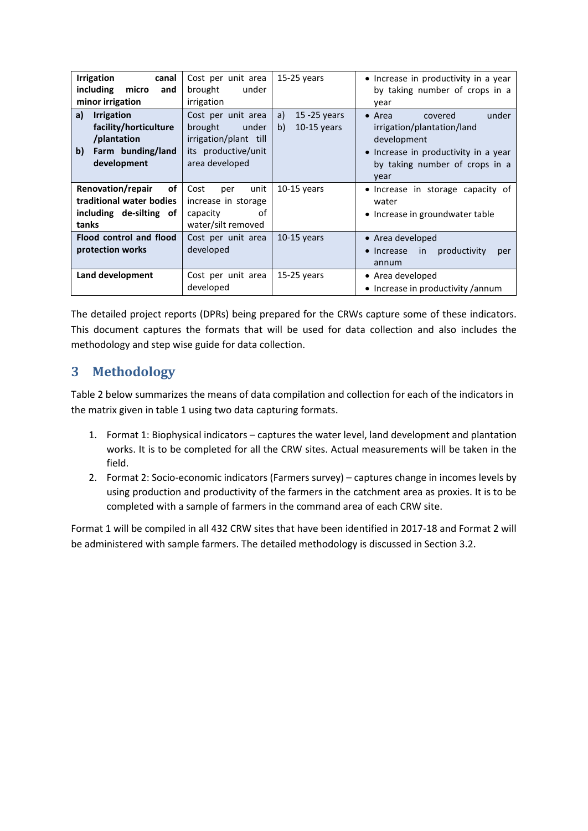| <b>Irrigation</b><br>canal<br>including<br>micro<br>and<br>minor irrigation                               | Cost per unit area<br>under<br>brought<br>irrigation                                                     | $15-25$ years                                | • Increase in productivity in a year<br>by taking number of crops in a<br>year                                                                                    |
|-----------------------------------------------------------------------------------------------------------|----------------------------------------------------------------------------------------------------------|----------------------------------------------|-------------------------------------------------------------------------------------------------------------------------------------------------------------------|
| <b>Irrigation</b><br>a)<br>facility/horticulture<br>/plantation<br>Farm bunding/land<br>b)<br>development | Cost per unit area<br>under<br>brought<br>irrigation/plant till<br>its productive/unit<br>area developed | $15 - 25$ years<br>a)<br>$10-15$ years<br>b) | $\bullet$ Area<br>under<br>covered<br>irrigation/plantation/land<br>development<br>• Increase in productivity in a year<br>by taking number of crops in a<br>year |
| Renovation/repair<br>of<br>traditional water bodies<br>including de-silting of<br>tanks                   | unit<br>Cost<br>per<br>increase in storage<br>οf<br>capacity<br>water/silt removed                       | $10-15$ years                                | • Increase in storage capacity of<br>water<br>• Increase in groundwater table                                                                                     |
| Flood control and flood<br>protection works                                                               | Cost per unit area<br>developed                                                                          | $10-15$ years                                | • Area developed<br>productivity<br>Increase<br>in.<br>per<br>annum                                                                                               |
| Land development                                                                                          | Cost per unit area<br>developed                                                                          | 15-25 years                                  | • Area developed<br>• Increase in productivity /annum                                                                                                             |

The detailed project reports (DPRs) being prepared for the CRWs capture some of these indicators. This document captures the formats that will be used for data collection and also includes the methodology and step wise guide for data collection.

# <span id="page-3-0"></span>**3 Methodology**

Table 2 below summarizes the means of data compilation and collection for each of the indicators in the matrix given in table 1 using two data capturing formats.

- 1. Format 1: Biophysical indicators captures the water level, land development and plantation works. It is to be completed for all the CRW sites. Actual measurements will be taken in the field.
- 2. Format 2: Socio-economic indicators (Farmers survey) captures change in incomes levels by using production and productivity of the farmers in the catchment area as proxies. It is to be completed with a sample of farmers in the command area of each CRW site.

Format 1 will be compiled in all 432 CRW sites that have been identified in 2017-18 and Format 2 will be administered with sample farmers. The detailed methodology is discussed in Section 3.2.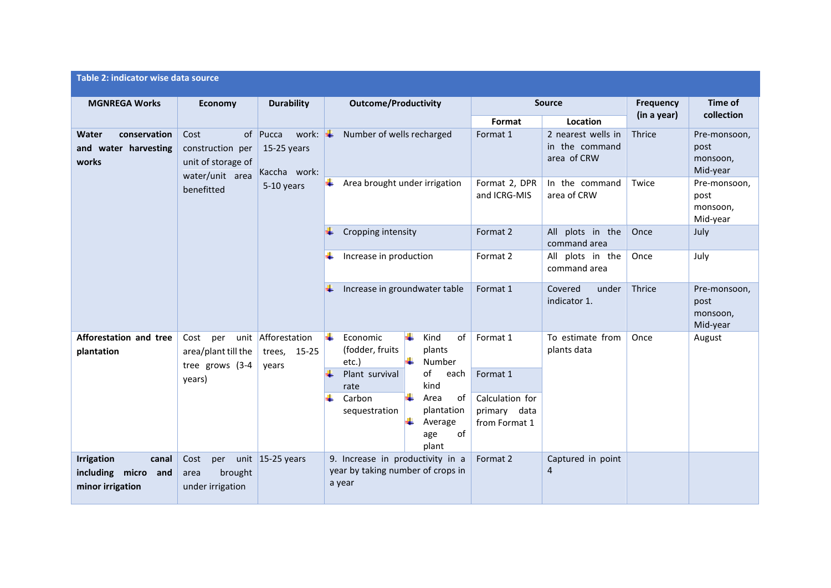| Table 2: indicator wise data source                                   |                                                                                                                           |                                             |                                                                                                                                                                                                                                |                                                                                                             |                                                          |  |  |  |
|-----------------------------------------------------------------------|---------------------------------------------------------------------------------------------------------------------------|---------------------------------------------|--------------------------------------------------------------------------------------------------------------------------------------------------------------------------------------------------------------------------------|-------------------------------------------------------------------------------------------------------------|----------------------------------------------------------|--|--|--|
| <b>MGNREGA Works</b>                                                  | <b>Economy</b>                                                                                                            | <b>Durability</b>                           | <b>Outcome/Productivity</b>                                                                                                                                                                                                    | <b>Source</b>                                                                                               | Time of<br><b>Frequency</b><br>collection<br>(in a year) |  |  |  |
| conservation<br>Water<br>and water harvesting<br>works                | of Pucca<br>work: $\left  \cdot \right $<br>Cost<br>construction per<br>15-25 years<br>unit of storage of<br>Kaccha work: |                                             | Number of wells recharged                                                                                                                                                                                                      | Location<br>Format<br>Format 1<br>2 nearest wells in<br>in the command<br>area of CRW                       | Thrice<br>Pre-monsoon,<br>post<br>monsoon,<br>Mid-year   |  |  |  |
|                                                                       | water/unit area<br>benefitted                                                                                             | 5-10 years                                  | Area brought under irrigation<br>÷                                                                                                                                                                                             | Format 2, DPR<br>In the command<br>area of CRW<br>and ICRG-MIS                                              | Twice<br>Pre-monsoon,<br>post<br>monsoon,<br>Mid-year    |  |  |  |
|                                                                       |                                                                                                                           |                                             | Cropping intensity                                                                                                                                                                                                             | All plots in the<br>Format 2<br>command area                                                                | Once<br>July                                             |  |  |  |
|                                                                       |                                                                                                                           |                                             | Increase in production<br>÷                                                                                                                                                                                                    | Format 2<br>All plots in the<br>command area                                                                | Once<br>July                                             |  |  |  |
|                                                                       |                                                                                                                           |                                             | ÷<br>Increase in groundwater table                                                                                                                                                                                             | Format 1<br>Covered<br>under<br>indicator 1.                                                                | Thrice<br>Pre-monsoon,<br>post<br>monsoon,<br>Mid-year   |  |  |  |
| Afforestation and tree<br>plantation                                  | Cost<br>per<br>area/plant till the<br>tree grows (3-4<br>years)                                                           | unit Afforestation<br>trees, 15-25<br>years | H.<br>÷<br>Economic<br>Kind<br>of<br>(fodder, fruits<br>plants<br>Number<br>etc.)<br>Plant survival<br>of<br>each<br>kind<br>rate<br>÷<br>Area<br>of<br>Carbon<br>plantation<br>sequestration<br>Average<br>of<br>age<br>plant | Format 1<br>To estimate from<br>plants data<br>Format 1<br>Calculation for<br>primary data<br>from Format 1 | Once<br>August                                           |  |  |  |
| <b>Irrigation</b><br>canal<br>including micro and<br>minor irrigation | Cost<br>per<br>brought<br>area<br>under irrigation                                                                        | unit $15-25$ years                          | 9. Increase in productivity in a<br>year by taking number of crops in<br>a year                                                                                                                                                | Format 2<br>Captured in point<br>4                                                                          |                                                          |  |  |  |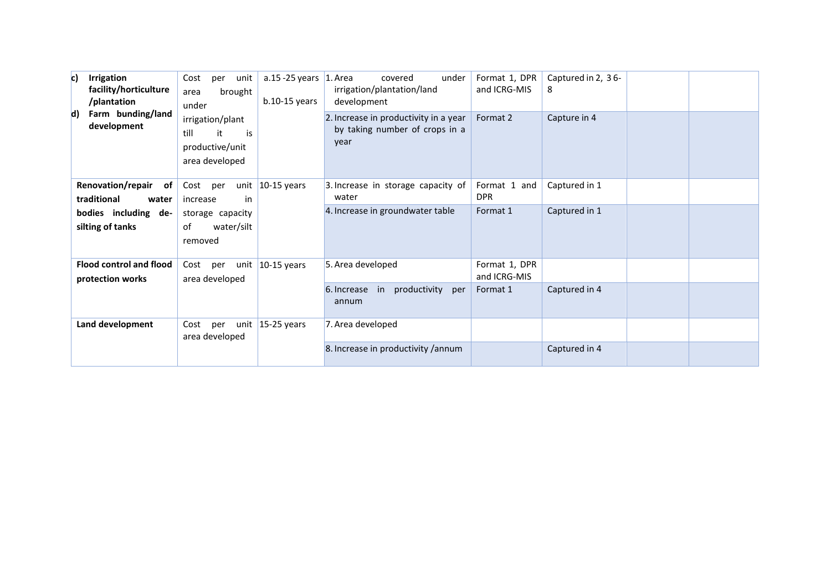| c)<br><b>Irrigation</b><br>facility/horticulture<br>/plantation<br>Farm bunding/land<br>$\mathsf{d}$<br>development | Cost<br>per<br>unit<br>brought<br>area<br>under<br>irrigation/plant<br>it<br>till<br>is<br>productive/unit | a.15 -25 years $\vert$ 1. Area<br>$b.10-15$ years | covered<br>under<br>irrigation/plantation/land<br>development<br>2. Increase in productivity in a year<br>by taking number of crops in a<br>year | Format 1, DPR<br>and ICRG-MIS<br>Format 2 | Captured in 2, 36-<br>8<br>Capture in 4 |  |
|---------------------------------------------------------------------------------------------------------------------|------------------------------------------------------------------------------------------------------------|---------------------------------------------------|--------------------------------------------------------------------------------------------------------------------------------------------------|-------------------------------------------|-----------------------------------------|--|
|                                                                                                                     | area developed                                                                                             |                                                   |                                                                                                                                                  |                                           |                                         |  |
| <b>Renovation/repair</b><br>of<br>traditional<br>water                                                              | Cost per<br>in<br>increase                                                                                 | unit $10-15$ years                                | 3. Increase in storage capacity of<br>water                                                                                                      | Format 1 and<br><b>DPR</b>                | Captured in 1                           |  |
| bodies including de-<br>silting of tanks                                                                            | storage capacity<br>water/silt<br>οf<br>removed                                                            |                                                   | 4. Increase in groundwater table                                                                                                                 | Format 1                                  | Captured in 1                           |  |
| <b>Flood control and flood</b><br>protection works                                                                  | Cost per<br>area developed                                                                                 | unit $10-15$ years                                | 5. Area developed                                                                                                                                | Format 1, DPR<br>and ICRG-MIS             |                                         |  |
|                                                                                                                     |                                                                                                            |                                                   | productivity<br>6. Increase in<br>per<br>annum                                                                                                   | Format 1                                  | Captured in 4                           |  |
| Land development                                                                                                    | per<br>Cost<br>area developed                                                                              | unit $15-25$ years                                | 7. Area developed                                                                                                                                |                                           |                                         |  |
|                                                                                                                     |                                                                                                            |                                                   | 8. Increase in productivity / annum                                                                                                              |                                           | Captured in 4                           |  |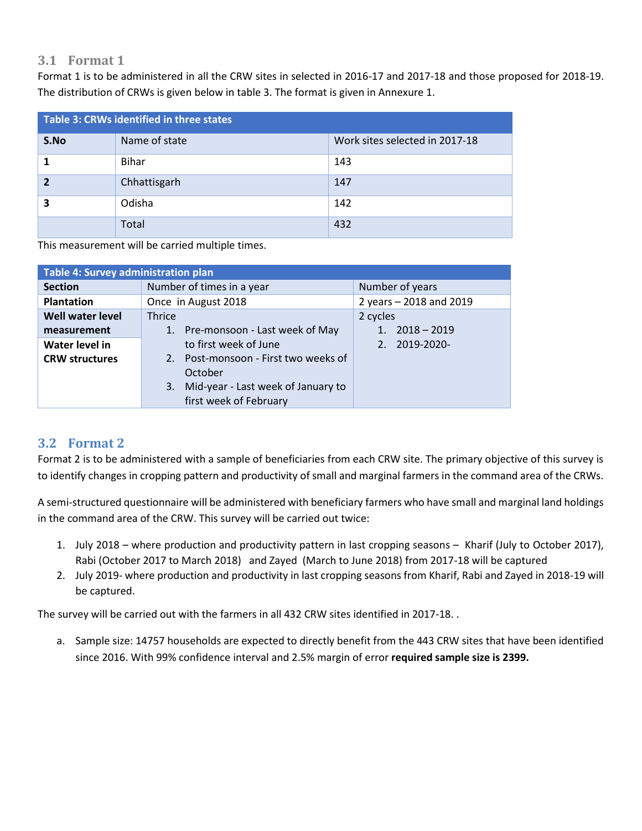### **3.1 Format 1**

Format 1 is to be administered in all the CRW sites in selected in 2016-17 and 2017-18 and those proposed for 2018-19. The distribution of CRWs is given below in table 3. The format is given in Annexure 1.

<span id="page-6-0"></span>

| Table 3: CRWs identified in three states |               |                                |  |  |  |  |
|------------------------------------------|---------------|--------------------------------|--|--|--|--|
| S.No                                     | Name of state | Work sites selected in 2017-18 |  |  |  |  |
|                                          | Bihar         | 143                            |  |  |  |  |
| $\overline{\mathbf{z}}$                  | Chhattisgarh  | 147                            |  |  |  |  |
| 3                                        | Odisha        | 142                            |  |  |  |  |
|                                          | Total         | 432                            |  |  |  |  |

This measurement will be carried multiple times.

| Table 4: Survey administration plan |                                          |                         |  |  |  |  |  |
|-------------------------------------|------------------------------------------|-------------------------|--|--|--|--|--|
| <b>Section</b>                      | Number of times in a year                | Number of years         |  |  |  |  |  |
| <b>Plantation</b>                   | Once in August 2018                      | 2 years - 2018 and 2019 |  |  |  |  |  |
| <b>Well water level</b>             | <b>Thrice</b>                            | 2 cycles                |  |  |  |  |  |
| measurement                         | 1. Pre-monsoon - Last week of May        | $2018 - 2019$           |  |  |  |  |  |
| Water level in                      | to first week of June                    | 2. 2019-2020-           |  |  |  |  |  |
| <b>CRW structures</b>               | 2. Post-monsoon - First two weeks of     |                         |  |  |  |  |  |
|                                     | October                                  |                         |  |  |  |  |  |
|                                     | Mid-year - Last week of January to<br>3. |                         |  |  |  |  |  |
|                                     | first week of February                   |                         |  |  |  |  |  |

### **3.2 Format 2**

Format 2 is to be administered with a sample of beneficiaries from each CRW site. The primary objective of this survey is to identify changes in cropping pattern and productivity of small and marginal farmers in the command area of the CRWs.

<span id="page-6-1"></span>A semi-structured questionnaire will be administered with beneficiary farmers who have small and marginal land holdings in the command area of the CRW. This survey will be carried out twice:

- 1. July 2018 where production and productivity pattern in last cropping seasons Kharif (July to October 2017), Rabi (October 2017 to March 2018) and Zayed (March to June 2018) from 2017-18 will be captured
- 2. July 2019- where production and productivity in last cropping seasons from Kharif, Rabi and Zayed in 2018-19 will be captured.

The survey will be carried out with the farmers in all 432 CRW sites identified in 2017-18. .

a. Sample size: 14757 households are expected to directly benefit from the 443 CRW sites that have been identified since 2016. With 99% confidence interval and 2.5% margin of error **required sample size is 2399.**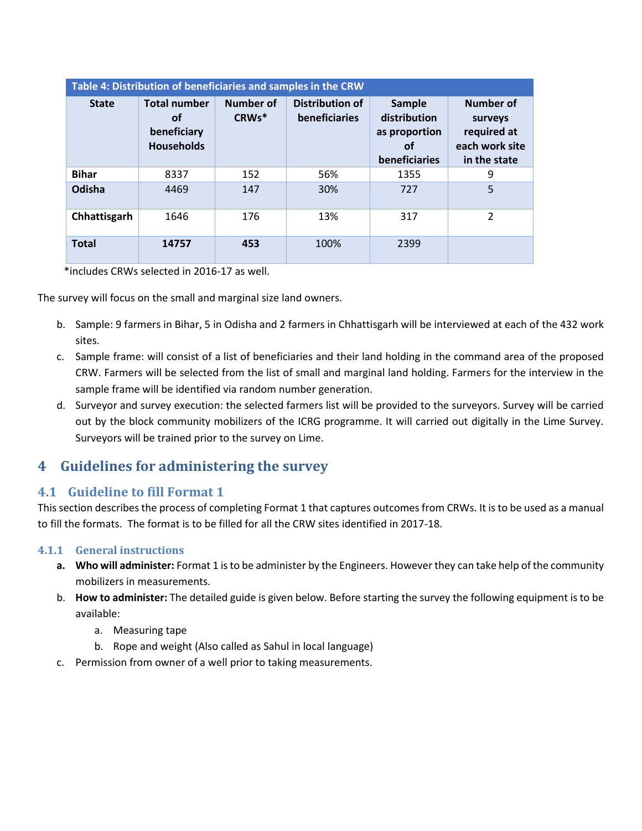| Table 4: Distribution of beneficiaries and samples in the CRW |                                                                      |                    |                                         |                                                                       |                                                                              |  |  |  |
|---------------------------------------------------------------|----------------------------------------------------------------------|--------------------|-----------------------------------------|-----------------------------------------------------------------------|------------------------------------------------------------------------------|--|--|--|
| <b>State</b>                                                  | <b>Total number</b><br><b>of</b><br>beneficiary<br><b>Households</b> | Number of<br>CRWs* | <b>Distribution of</b><br>beneficiaries | <b>Sample</b><br>distribution<br>as proportion<br>οf<br>beneficiaries | <b>Number of</b><br>surveys<br>required at<br>each work site<br>in the state |  |  |  |
| <b>Bihar</b>                                                  | 8337                                                                 | 152                | 56%                                     | 1355                                                                  | 9                                                                            |  |  |  |
| Odisha                                                        | 4469                                                                 | 147                | 30%                                     | 727                                                                   | 5                                                                            |  |  |  |
| Chhattisgarh                                                  | 1646                                                                 | 176                | 13%                                     | 317                                                                   | $\mathcal{P}$                                                                |  |  |  |
| <b>Total</b>                                                  | 14757                                                                | 453                | 100%                                    | 2399                                                                  |                                                                              |  |  |  |

\*includes CRWs selected in 2016-17 as well.

The survey will focus on the small and marginal size land owners.

- b. Sample: 9 farmers in Bihar, 5 in Odisha and 2 farmers in Chhattisgarh will be interviewed at each of the 432 work sites.
- c. Sample frame: will consist of a list of beneficiaries and their land holding in the command area of the proposed CRW. Farmers will be selected from the list of small and marginal land holding. Farmers for the interview in the sample frame will be identified via random number generation.
- d. Surveyor and survey execution: the selected farmers list will be provided to the surveyors. Survey will be carried out by the block community mobilizers of the ICRG programme. It will carried out digitally in the Lime Survey. Surveyors will be trained prior to the survey on Lime.

## **4 Guidelines for administering the survey**

### **4.1 Guideline to fill Format 1**

<span id="page-7-0"></span>This section describes the process of completing Format 1 that captures outcomes from CRWs. It is to be used as a manual to fill the formats. The format is to be filled for all the CRW sites identified in 2017-18.

### <span id="page-7-1"></span>**4.1.1 General instructions**

- **a. Who will administer:** Format 1 is to be administer by the Engineers. However they can take help of the community mobilizers in measurements.
- <span id="page-7-2"></span>b. **How to administer:** The detailed guide is given below. Before starting the survey the following equipment is to be available:
	- a. Measuring tape
	- b. Rope and weight (Also called as Sahul in local language)
- <span id="page-7-3"></span>c. Permission from owner of a well prior to taking measurements.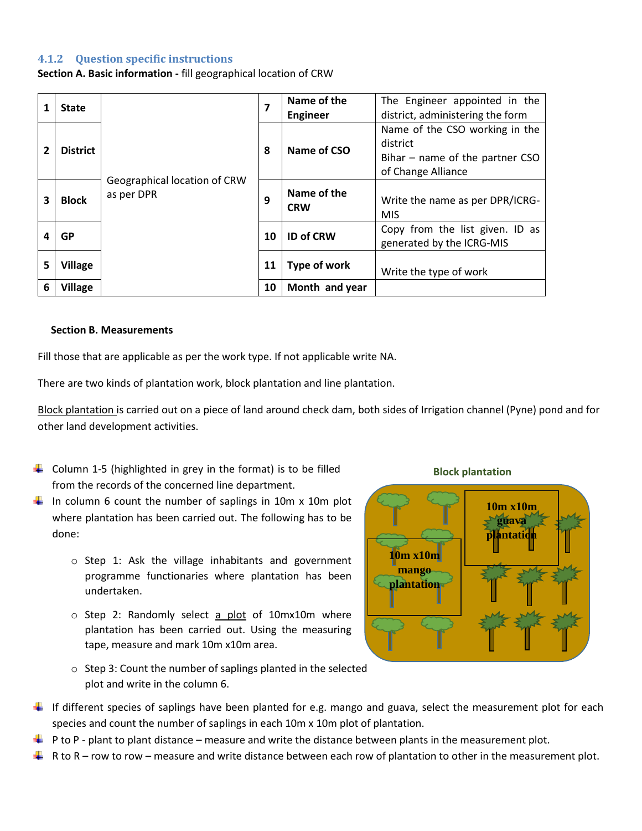### **4.1.2 Question specific instructions**

**Section A. Basic information -** fill geographical location of CRW

|   | <b>State</b>    |                                            | 7  | Name of the<br><b>Engineer</b> | The Engineer appointed in the<br>district, administering the form |                                               |                                                                                           |
|---|-----------------|--------------------------------------------|----|--------------------------------|-------------------------------------------------------------------|-----------------------------------------------|-------------------------------------------------------------------------------------------|
|   | <b>District</b> | Geographical location of CRW<br>as per DPR |    |                                | district<br>Name of CSO<br>8                                      |                                               | Name of the CSO working in the<br>Bihar $-$ name of the partner CSO<br>of Change Alliance |
| 3 | <b>Block</b>    |                                            |    | 9<br><b>CRW</b><br>10          | Name of the                                                       | Write the name as per DPR/ICRG-<br><b>MIS</b> |                                                                                           |
| Δ | GP              |                                            |    |                                |                                                                   | <b>ID of CRW</b>                              | Copy from the list given. ID as<br>generated by the ICRG-MIS                              |
| 5 | <b>Village</b>  |                                            |    | Type of work                   | Write the type of work                                            |                                               |                                                                                           |
| 6 | <b>Village</b>  |                                            | 10 | Month and year                 |                                                                   |                                               |                                                                                           |

#### **Section B. Measurements**

Fill those that are applicable as per the work type. If not applicable write NA.

There are two kinds of plantation work, block plantation and line plantation.

Block plantation is carried out on a piece of land around check dam, both sides of Irrigation channel (Pyne) pond and for other land development activities.

- $\downarrow$  Column 1-5 (highlighted in grey in the format) is to be filled from the records of the concerned line department.
- In column 6 count the number of saplings in 10m x 10m plot where plantation has been carried out. The following has to be done:
	- o Step 1: Ask the village inhabitants and government programme functionaries where plantation has been undertaken.
	- $\circ$  Step 2: Randomly select a plot of 10mx10m where plantation has been carried out. Using the measuring tape, measure and mark 10m x10m area.
	- o Step 3: Count the number of saplings planted in the selected plot and write in the column 6.

#### **Block plantation**



- If different species of saplings have been planted for e.g. mango and guava, select the measurement plot for each species and count the number of saplings in each 10m x 10m plot of plantation.
- $\downarrow$  P to P plant to plant distance measure and write the distance between plants in the measurement plot.
- $\blacktriangle$  R to R row to row measure and write distance between each row of plantation to other in the measurement plot.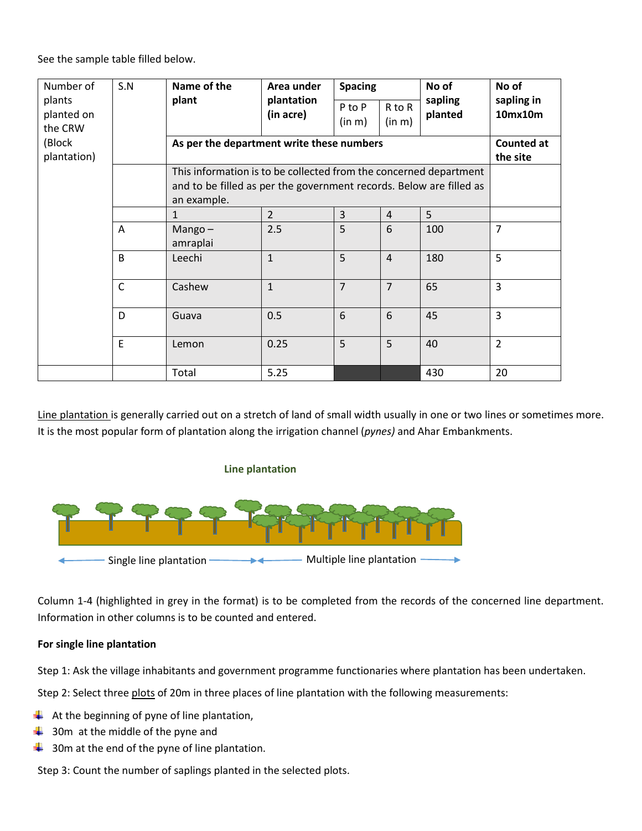See the sample table filled below.

| Number of<br>plants<br>planted on<br>the CRW | S.N          | Name of the<br>plant                                                | Area under<br>plantation<br>(in acre) | <b>Spacing</b><br>P to P<br>(in m) | R to R<br>(in m) | No of<br>sapling<br>planted | No of<br>sapling in<br>10mx10m |
|----------------------------------------------|--------------|---------------------------------------------------------------------|---------------------------------------|------------------------------------|------------------|-----------------------------|--------------------------------|
| (Block                                       |              | As per the department write these numbers                           | <b>Counted at</b>                     |                                    |                  |                             |                                |
| plantation)                                  |              |                                                                     |                                       |                                    |                  |                             | the site                       |
|                                              |              | This information is to be collected from the concerned department   |                                       |                                    |                  |                             |                                |
|                                              |              | and to be filled as per the government records. Below are filled as |                                       |                                    |                  |                             |                                |
|                                              |              | an example.                                                         |                                       |                                    |                  |                             |                                |
|                                              |              | $\mathbf{1}$                                                        | $\overline{2}$                        | $\overline{3}$                     | 4                | 5                           |                                |
|                                              | Α            | Mango $-$                                                           | 2.5                                   | 5                                  | 6                | 100                         | $\overline{7}$                 |
|                                              |              | amraplai                                                            |                                       |                                    |                  |                             |                                |
|                                              | B            | Leechi                                                              | $\mathbf{1}$                          | 5                                  | $\overline{4}$   | 180                         | 5                              |
|                                              | $\mathsf{C}$ | Cashew                                                              | $\mathbf{1}$                          | $\overline{7}$                     | $\overline{7}$   | 65                          | 3                              |
|                                              | D            | Guava                                                               | 0.5                                   | 6                                  | 6                | 45                          | 3                              |
|                                              | E            | Lemon                                                               | 0.25                                  | 5                                  | 5                | 40                          | $\overline{2}$                 |
|                                              |              | Total                                                               | 5.25                                  |                                    |                  | 430                         | 20                             |

Line plantation is generally carried out on a stretch of land of small width usually in one or two lines or sometimes more. It is the most popular form of plantation along the irrigation channel (*pynes)* and Ahar Embankments.





Column 1-4 (highlighted in grey in the format) is to be completed from the records of the concerned line department. Information in other columns is to be counted and entered.

### **For single line plantation**

Step 1: Ask the village inhabitants and government programme functionaries where plantation has been undertaken.

Step 2: Select three plots of 20m in three places of line plantation with the following measurements:

- $\downarrow$  At the beginning of pyne of line plantation,
- $\frac{1}{2}$  30m at the middle of the pyne and
- $\frac{1}{2}$  30m at the end of the pyne of line plantation.

Step 3: Count the number of saplings planted in the selected plots.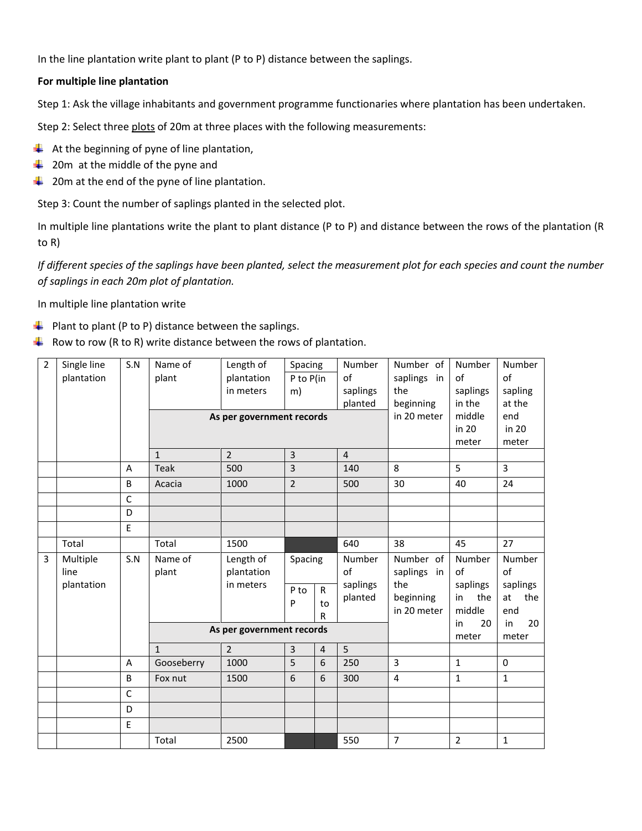In the line plantation write plant to plant (P to P) distance between the saplings.

### **For multiple line plantation**

Step 1: Ask the village inhabitants and government programme functionaries where plantation has been undertaken.

Step 2: Select three plots of 20m at three places with the following measurements:

- $\downarrow$  At the beginning of pyne of line plantation,
- $\downarrow$  20m at the middle of the pyne and
- $\ddot{\phantom{1}}$  20m at the end of the pyne of line plantation.

Step 3: Count the number of saplings planted in the selected plot.

In multiple line plantations write the plant to plant distance (P to P) and distance between the rows of the plantation (R to R)

*If different species of the saplings have been planted, select the measurement plot for each species and count the number of saplings in each 20m plot of plantation.* 

In multiple line plantation write

- $\downarrow$  Plant to plant (P to P) distance between the saplings.
- Row to row (R to R) write distance between the rows of plantation.

| $\overline{2}$ | Single line | S.N          | Name of                   | Length of                 | Spacing                 |                | Number         | Number of               | Number       | Number         |
|----------------|-------------|--------------|---------------------------|---------------------------|-------------------------|----------------|----------------|-------------------------|--------------|----------------|
|                | plantation  |              | plant                     | plantation                | P to P(in               |                | of             | saplings<br>in          | of           | of             |
|                |             |              |                           | in meters                 | m)                      |                | saplings       | the                     | saplings     | sapling        |
|                |             |              |                           |                           |                         |                | planted        | beginning               | in the       | at the         |
|                |             |              | As per government records |                           |                         |                | in 20 meter    | middle                  | end          |                |
|                |             |              |                           |                           |                         |                |                |                         | in 20        | in 20          |
|                |             |              |                           |                           |                         |                |                |                         | meter        | meter          |
|                |             |              | $\mathbf{1}$              | $\overline{2}$            | $\overline{3}$          |                | $\overline{4}$ |                         |              |                |
|                |             | A            | <b>Teak</b>               | 500                       | $\overline{3}$          |                | 140            | 8                       | 5            | $\overline{3}$ |
|                |             | B            | Acacia                    | 1000                      | $\overline{2}$          |                | 500            | 30                      | 40           | 24             |
|                |             | $\mathsf C$  |                           |                           |                         |                |                |                         |              |                |
|                |             | D            |                           |                           |                         |                |                |                         |              |                |
|                |             | E            |                           |                           |                         |                |                |                         |              |                |
|                | Total       |              | Total                     | 1500                      |                         |                | 640            | 38                      | 45           | 27             |
|                |             |              |                           |                           |                         |                |                |                         |              |                |
| 3              | Multiple    | S.N          | Name of                   | Length of                 | Spacing                 |                | Number         | Number of               | Number       | Number         |
|                | line        |              | plant                     | plantation                |                         |                | of             | saplings<br>in          | of           | of             |
|                | plantation  |              |                           | in meters                 |                         |                | saplings       | the                     | saplings     | saplings       |
|                |             |              |                           |                           | P to                    | $\mathsf{R}$   | planted        | beginning               | in<br>the    | the<br>at      |
|                |             |              |                           |                           | P                       | to<br>R        |                | in 20 meter             | middle       | end            |
|                |             |              |                           |                           |                         |                |                |                         | 20<br>in     | in<br>20       |
|                |             |              |                           | As per government records |                         |                |                |                         | meter        | meter          |
|                |             |              | $\mathbf{1}$              | $\overline{2}$            | $\overline{\mathbf{3}}$ | $\overline{4}$ | 5              |                         |              |                |
|                |             | Α            | Gooseberry                | 1000                      | 5                       | 6              | 250            | 3                       | $\mathbf{1}$ | 0              |
|                |             | B            | Fox nut                   | 1500                      | 6                       | 6              | 300            | $\overline{\mathbf{4}}$ | $\mathbf{1}$ | $\mathbf{1}$   |
|                |             | $\mathsf{C}$ |                           |                           |                         |                |                |                         |              |                |
|                |             | D            |                           |                           |                         |                |                |                         |              |                |
|                |             | E            |                           |                           |                         |                |                |                         |              |                |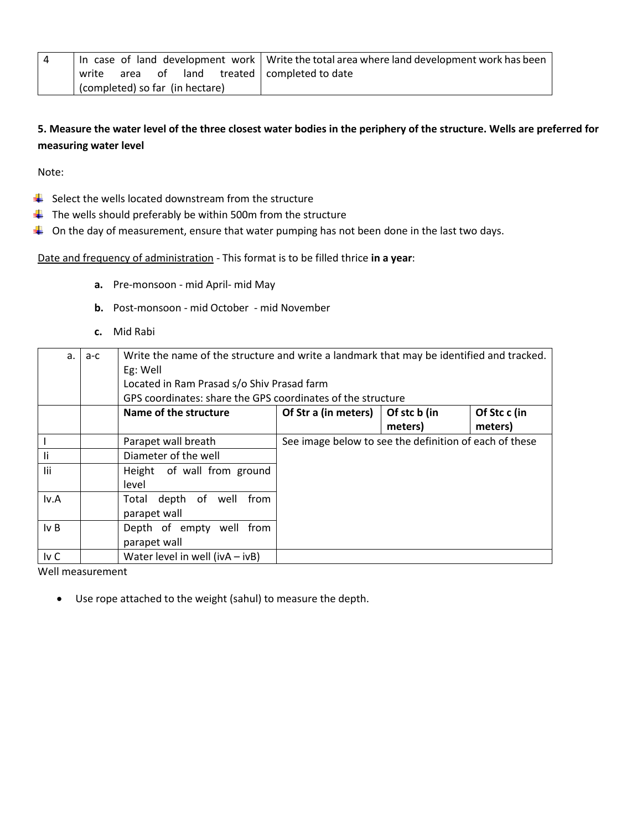|                                 | In case of land development work   Write the total area where land development work has been |
|---------------------------------|----------------------------------------------------------------------------------------------|
| land<br>write<br>area of        | treated   completed to date                                                                  |
| (completed) so far (in hectare) |                                                                                              |

### **5. Measure the water level of the three closest water bodies in the periphery of the structure. Wells are preferred for measuring water level**

Note:

- $\frac{1}{2}$  Select the wells located downstream from the structure
- $\ddot{\phantom{1}}$  The wells should preferably be within 500m from the structure
- $\downarrow$  On the day of measurement, ensure that water pumping has not been done in the last two days.

Date and frequency of administration - This format is to be filled thrice **in a year**:

- **a.** Pre-monsoon mid April- mid May
- **b.** Post-monsoon mid October mid November
- **c.** Mid Rabi

| $a_{-}$ | $a-c$ |                                                             | Write the name of the structure and write a landmark that may be identified and tracked. |              |              |  |  |  |  |
|---------|-------|-------------------------------------------------------------|------------------------------------------------------------------------------------------|--------------|--------------|--|--|--|--|
|         |       | Eg: Well                                                    |                                                                                          |              |              |  |  |  |  |
|         |       | Located in Ram Prasad s/o Shiv Prasad farm                  |                                                                                          |              |              |  |  |  |  |
|         |       | GPS coordinates: share the GPS coordinates of the structure |                                                                                          |              |              |  |  |  |  |
|         |       | Name of the structure                                       | Of Str a (in meters)                                                                     | Of stc b (in | Of Stc c (in |  |  |  |  |
|         |       |                                                             |                                                                                          | meters)      | meters)      |  |  |  |  |
|         |       | Parapet wall breath                                         | See image below to see the definition of each of these                                   |              |              |  |  |  |  |
| li      |       | Diameter of the well                                        |                                                                                          |              |              |  |  |  |  |
| lii     |       | Height of wall from ground                                  |                                                                                          |              |              |  |  |  |  |
|         |       | level                                                       |                                                                                          |              |              |  |  |  |  |
| Iv.A    |       | depth of well<br>from<br>Total                              |                                                                                          |              |              |  |  |  |  |
|         |       | parapet wall                                                |                                                                                          |              |              |  |  |  |  |
| IvB     |       | Depth of empty well from                                    |                                                                                          |              |              |  |  |  |  |
|         |       | parapet wall                                                |                                                                                          |              |              |  |  |  |  |
| Iv C    |       | Water level in well ( $ivA - ivB$ )                         |                                                                                          |              |              |  |  |  |  |

Well measurement

Use rope attached to the weight (sahul) to measure the depth.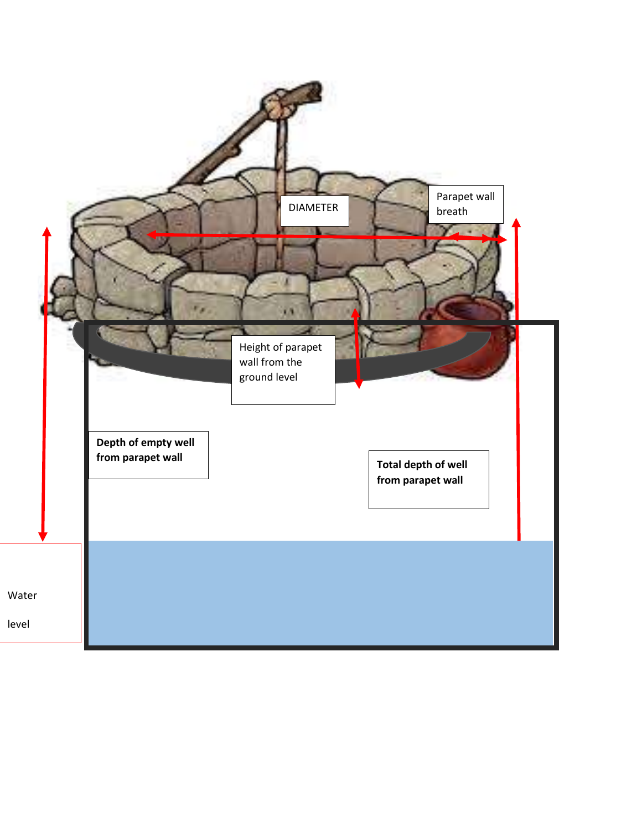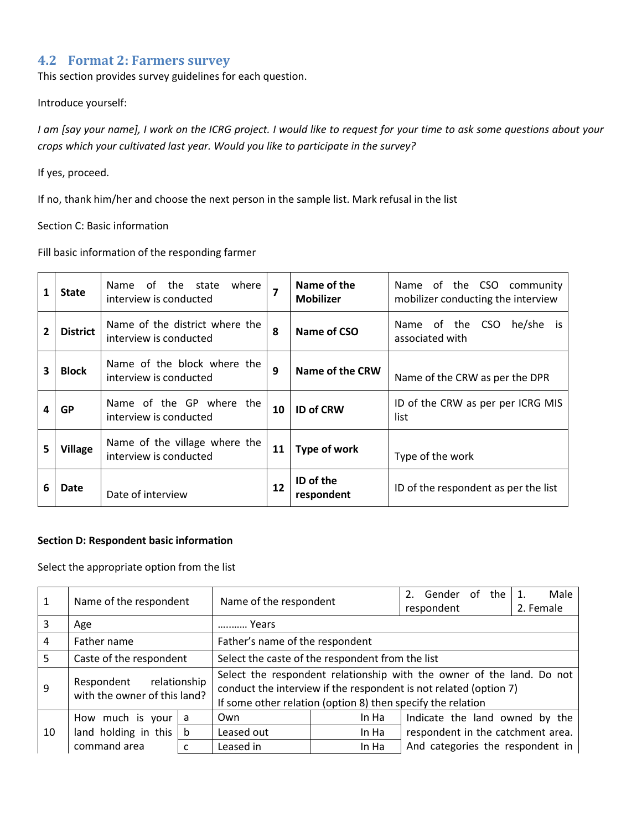### **4.2 Format 2: Farmers survey**

This section provides survey guidelines for each question.

#### <span id="page-13-0"></span>Introduce yourself:

*I am [say your name], I work on the ICRG project. I would like to request for your time to ask some questions about your crops which your cultivated last year. Would you like to participate in the survey?*

### If yes, proceed.

If no, thank him/her and choose the next person in the sample list. Mark refusal in the list

### Section C: Basic information

### Fill basic information of the responding farmer

| 1              | <b>State</b>    | where<br>the state<br>Name<br>0t<br>interview is conducted |    | Name of the<br><b>Mobilizer</b> | of the CSO community<br>Name<br>mobilizer conducting the interview |
|----------------|-----------------|------------------------------------------------------------|----|---------------------------------|--------------------------------------------------------------------|
| $\overline{2}$ | <b>District</b> | Name of the district where the<br>interview is conducted   | 8  | Name of CSO                     | Name of the CSO<br>he/she<br>is.<br>associated with                |
| 3              | <b>Block</b>    | Name of the block where the<br>interview is conducted      | 9  | Name of the CRW                 | Name of the CRW as per the DPR                                     |
| Δ              | GP              | Name of the GP where the<br>interview is conducted         | 10 | <b>ID of CRW</b>                | ID of the CRW as per per ICRG MIS<br>list                          |
| 5              | <b>Village</b>  | Name of the village where the<br>interview is conducted    | 11 | Type of work                    | Type of the work                                                   |
| 6              | Date            | Date of interview                                          | 12 | ID of the<br>respondent         | ID of the respondent as per the list                               |

#### **Section D: Respondent basic information**

Select the appropriate option from the list

| 1  | Name of the respondent                     |              | Name of the respondent                                                                                                                                                                                    |       | Gender of<br>2.<br>the            | Male      |  |  |
|----|--------------------------------------------|--------------|-----------------------------------------------------------------------------------------------------------------------------------------------------------------------------------------------------------|-------|-----------------------------------|-----------|--|--|
|    |                                            |              |                                                                                                                                                                                                           |       | respondent                        | 2. Female |  |  |
| 3  | Age                                        |              | Years                                                                                                                                                                                                     |       |                                   |           |  |  |
| 4  | Father name                                |              | Father's name of the respondent                                                                                                                                                                           |       |                                   |           |  |  |
| 5  | Caste of the respondent                    |              | Select the caste of the respondent from the list                                                                                                                                                          |       |                                   |           |  |  |
| 9  | Respondent<br>with the owner of this land? | relationship | Select the respondent relationship with the owner of the land. Do not<br>conduct the interview if the respondent is not related (option 7)<br>If some other relation (option 8) then specify the relation |       |                                   |           |  |  |
|    |                                            |              | Own                                                                                                                                                                                                       | In Ha |                                   |           |  |  |
|    | How much is your                           | a            |                                                                                                                                                                                                           |       | Indicate the land owned by the    |           |  |  |
| 10 | land holding in this $ b $                 |              | Leased out                                                                                                                                                                                                | In Ha | respondent in the catchment area. |           |  |  |
|    | command area<br>c                          |              | Leased in                                                                                                                                                                                                 | In Ha | And categories the respondent in  |           |  |  |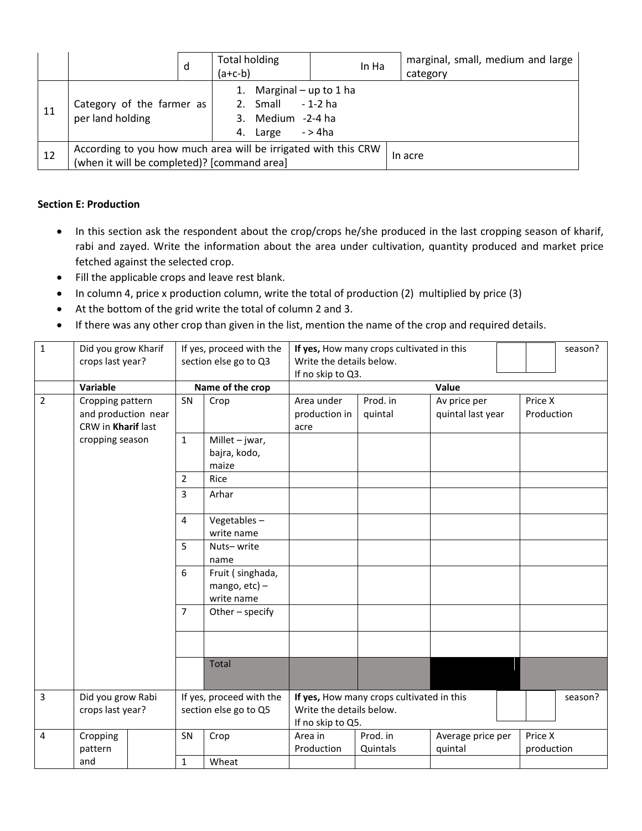|    |                                                                                                               | d | <b>Total holding</b><br>$(a+c-b)$                                                                  | In Ha | marginal, small, medium and large<br>category |
|----|---------------------------------------------------------------------------------------------------------------|---|----------------------------------------------------------------------------------------------------|-------|-----------------------------------------------|
| 11 | Category of the farmer as<br>per land holding                                                                 |   | Marginal – up to 1 ha<br>1.<br>- 1-2 ha<br>2. Small<br>3. Medium -2-4 ha<br>- > 4ha<br>Large<br>4. |       |                                               |
| 12 | According to you how much area will be irrigated with this CRW<br>(when it will be completed)? [command area] |   |                                                                                                    |       | In acre                                       |

### **Section E: Production**

- In this section ask the respondent about the crop/crops he/she produced in the last cropping season of kharif, rabi and zayed. Write the information about the area under cultivation, quantity produced and market price fetched against the selected crop.
- Fill the applicable crops and leave rest blank.
- In column 4, price x production column, write the total of production (2) multiplied by price (3)
- At the bottom of the grid write the total of column 2 and 3.
- If there was any other crop than given in the list, mention the name of the crop and required details.

| $\mathbf{1}$     | Did you grow Kharif<br>crops last year?                       |                | If yes, proceed with the<br>section else go to Q3  | Write the details below.<br>If no skip to Q3. | If yes, How many crops cultivated in this |                                   | season?               |  |
|------------------|---------------------------------------------------------------|----------------|----------------------------------------------------|-----------------------------------------------|-------------------------------------------|-----------------------------------|-----------------------|--|
|                  | Variable                                                      |                | Name of the crop                                   |                                               | Value                                     |                                   |                       |  |
| $\overline{2}$   | Cropping pattern<br>and production near<br>CRW in Kharif last | SN             | Crop                                               | Area under<br>production in<br>acre           | Prod. in<br>quintal                       | Av price per<br>quintal last year | Price X<br>Production |  |
|                  | cropping season                                               | $\mathbf{1}$   | Millet $-$ jwar,<br>bajra, kodo,<br>maize          |                                               |                                           |                                   |                       |  |
|                  |                                                               | $\overline{2}$ | Rice                                               |                                               |                                           |                                   |                       |  |
|                  |                                                               | $\overline{3}$ | Arhar                                              |                                               |                                           |                                   |                       |  |
|                  |                                                               | $\overline{4}$ | Vegetables-<br>write name                          |                                               |                                           |                                   |                       |  |
|                  |                                                               | 5              | Nuts-write<br>name                                 |                                               |                                           |                                   |                       |  |
|                  |                                                               | 6              | Fruit (singhada,<br>mango, $etc$ ) –<br>write name |                                               |                                           |                                   |                       |  |
|                  |                                                               | $\overline{7}$ | Other - specify                                    |                                               |                                           |                                   |                       |  |
|                  |                                                               |                |                                                    |                                               |                                           |                                   |                       |  |
|                  |                                                               |                | <b>Total</b>                                       |                                               |                                           |                                   |                       |  |
| 3                | Did you grow Rabi                                             |                | If yes, proceed with the                           |                                               | If yes, How many crops cultivated in this |                                   | season?               |  |
| crops last year? |                                                               |                | section else go to Q5                              | Write the details below.<br>If no skip to Q5. |                                           |                                   |                       |  |
| 4                | Cropping<br>pattern                                           | SN             | Crop                                               | Area in<br>Production                         | Prod. in<br>Quintals                      | Average price per<br>quintal      | Price X<br>production |  |
|                  | and                                                           | $\mathbf{1}$   | Wheat                                              |                                               |                                           |                                   |                       |  |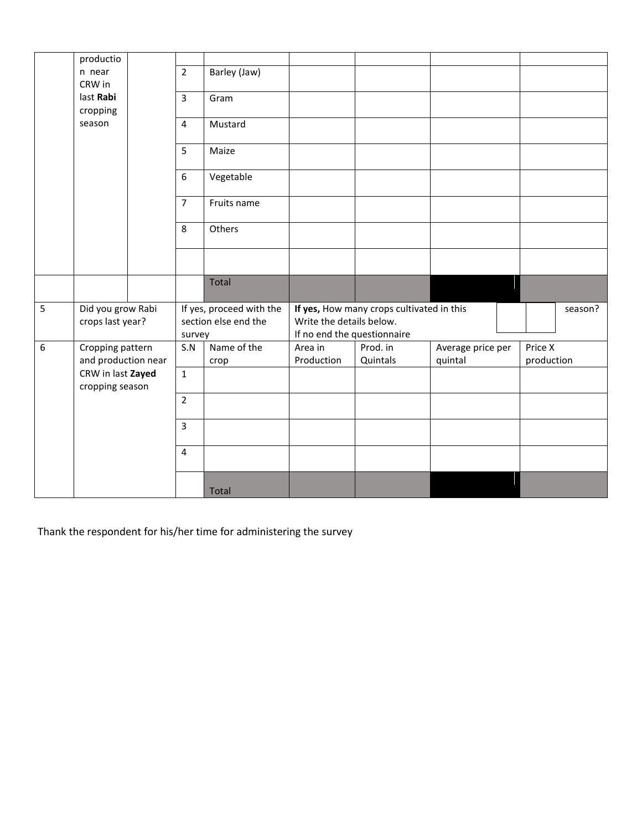|   | productio                            |  |                |                          |                                           |          |                   |  |            |         |  |
|---|--------------------------------------|--|----------------|--------------------------|-------------------------------------------|----------|-------------------|--|------------|---------|--|
|   | n near                               |  | $\overline{2}$ | Barley (Jaw)             |                                           |          |                   |  |            |         |  |
|   | CRW in                               |  |                |                          |                                           |          |                   |  |            |         |  |
|   | last Rabi                            |  | $\overline{3}$ | Gram                     |                                           |          |                   |  |            |         |  |
|   | cropping                             |  |                |                          |                                           |          |                   |  |            |         |  |
|   | season                               |  | $\overline{4}$ | Mustard                  |                                           |          |                   |  |            |         |  |
|   |                                      |  | 5              | Maize                    |                                           |          |                   |  |            |         |  |
|   |                                      |  | 6              | Vegetable                |                                           |          |                   |  |            |         |  |
|   |                                      |  | $\overline{7}$ | Fruits name              |                                           |          |                   |  |            |         |  |
|   |                                      |  | 8              | Others                   |                                           |          |                   |  |            |         |  |
|   |                                      |  |                |                          |                                           |          |                   |  |            |         |  |
|   |                                      |  |                | <b>Total</b>             |                                           |          |                   |  |            |         |  |
| 5 | Did you grow Rabi                    |  |                | If yes, proceed with the | If yes, How many crops cultivated in this |          |                   |  |            | season? |  |
|   | crops last year?                     |  |                | section else end the     | Write the details below.                  |          |                   |  |            |         |  |
|   |                                      |  | survey         |                          | If no end the questionnaire               |          |                   |  |            |         |  |
| 6 | Cropping pattern                     |  | S.N            | Name of the              | Area in                                   | Prod. in | Average price per |  | Price X    |         |  |
|   | and production near                  |  |                | crop                     | Production                                | Quintals | quintal           |  | production |         |  |
|   | CRW in last Zayed<br>cropping season |  | $\mathbf{1}$   |                          |                                           |          |                   |  |            |         |  |
|   |                                      |  | $\overline{2}$ |                          |                                           |          |                   |  |            |         |  |
|   |                                      |  | $\overline{3}$ |                          |                                           |          |                   |  |            |         |  |
|   |                                      |  | 4              |                          |                                           |          |                   |  |            |         |  |
|   |                                      |  |                | Total                    |                                           |          |                   |  |            |         |  |

Thank the respondent for his/her time for administering the survey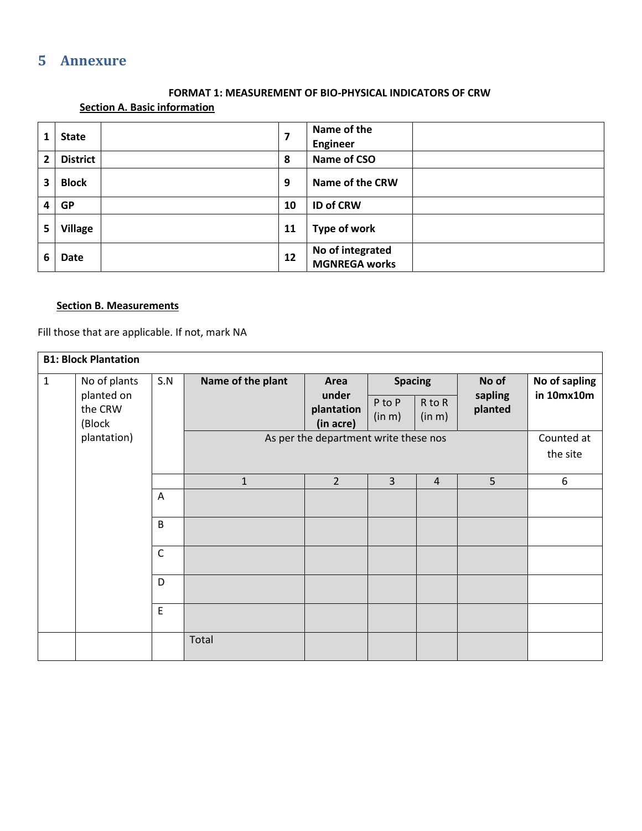## **5 Annexure**

### **FORMAT 1: MEASUREMENT OF BIO-PHYSICAL INDICATORS OF CRW**

### **Section A. Basic information**

<span id="page-16-0"></span>

|                | <b>State</b>    |    | Name of the<br><b>Engineer</b>           |
|----------------|-----------------|----|------------------------------------------|
| $\overline{2}$ | <b>District</b> | 8  | Name of CSO                              |
| 3              | <b>Block</b>    | 9  | <b>Name of the CRW</b>                   |
| 4              | <b>GP</b>       | 10 | <b>ID of CRW</b>                         |
| 5              | <b>Village</b>  | 11 | <b>Type of work</b>                      |
| 6              | Date            | 12 | No of integrated<br><b>MGNREGA works</b> |

### **Section B. Measurements**

Fill those that are applicable. If not, mark NA

|              | <b>B1: Block Plantation</b> |             |                   |                                       |                  |                  |                    |                        |  |
|--------------|-----------------------------|-------------|-------------------|---------------------------------------|------------------|------------------|--------------------|------------------------|--|
| $\mathbf{1}$ | No of plants<br>planted on  | S.N         | Name of the plant | Area                                  | <b>Spacing</b>   |                  | No of              | No of sapling          |  |
|              | the CRW<br>(Block           |             |                   | under<br>plantation<br>(in acre)      | P to P<br>(in m) | R to R<br>(in m) | sapling<br>planted | in 10mx10m             |  |
|              | plantation)                 |             |                   | As per the department write these nos |                  |                  |                    | Counted at<br>the site |  |
|              |                             |             | $\mathbf{1}$      | $\overline{2}$                        | $\overline{3}$   | $\overline{4}$   | 5                  | 6                      |  |
|              |                             | Α           |                   |                                       |                  |                  |                    |                        |  |
|              |                             | B           |                   |                                       |                  |                  |                    |                        |  |
|              |                             | $\mathsf C$ |                   |                                       |                  |                  |                    |                        |  |
|              |                             | D           |                   |                                       |                  |                  |                    |                        |  |
|              |                             | $\mathsf E$ |                   |                                       |                  |                  |                    |                        |  |
|              |                             |             | Total             |                                       |                  |                  |                    |                        |  |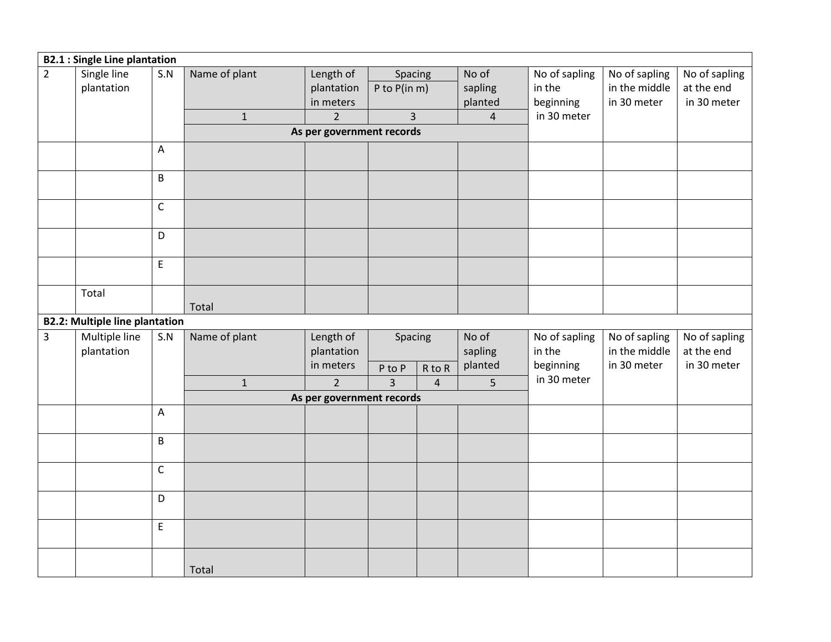|                | <b>B2.1: Single Line plantation</b>   |                                            |               |                           |                          |                |                |                         |                                |               |
|----------------|---------------------------------------|--------------------------------------------|---------------|---------------------------|--------------------------|----------------|----------------|-------------------------|--------------------------------|---------------|
| $\overline{2}$ | Single line                           | S.N                                        | Name of plant | Length of                 | Spacing                  |                | No of          | No of sapling           | No of sapling                  | No of sapling |
|                | plantation                            |                                            |               | plantation                | P to $P$ (in m)          |                | sapling        | in the                  | in the middle                  | at the end    |
|                |                                       |                                            |               | in meters                 |                          |                | planted        | beginning               | in 30 meter                    | in 30 meter   |
|                |                                       |                                            | $\mathbf{1}$  | $\overline{2}$            | 3                        |                | $\overline{4}$ | in 30 meter             |                                |               |
|                |                                       |                                            |               | As per government records |                          |                |                |                         |                                |               |
|                |                                       | А                                          |               |                           |                          |                |                |                         |                                |               |
|                |                                       | B                                          |               |                           |                          |                |                |                         |                                |               |
|                |                                       | $\mathsf C$                                |               |                           |                          |                |                |                         |                                |               |
|                |                                       | D                                          |               |                           |                          |                |                |                         |                                |               |
|                |                                       | $\mathsf{E}% _{0}\left( \mathsf{E}\right)$ |               |                           |                          |                |                |                         |                                |               |
|                |                                       |                                            |               |                           |                          |                |                |                         |                                |               |
|                | Total                                 |                                            |               |                           |                          |                |                |                         |                                |               |
|                | <b>B2.2: Multiple line plantation</b> |                                            | Total         |                           |                          |                |                |                         |                                |               |
| $\overline{3}$ | Multiple line                         | S.N                                        | Name of plant |                           |                          |                | No of          |                         |                                | No of sapling |
|                | plantation                            |                                            |               | Length of<br>plantation   | Spacing                  |                | sapling        | No of sapling<br>in the | No of sapling<br>in the middle | at the end    |
|                |                                       |                                            |               | in meters                 |                          |                | planted        | beginning               | in 30 meter                    | in 30 meter   |
|                |                                       |                                            |               | $2^{\circ}$               | P to P<br>$\overline{3}$ | R to R         |                | in 30 meter             |                                |               |
|                |                                       |                                            | $\mathbf 1$   | As per government records |                          | $\overline{4}$ | 5              |                         |                                |               |
|                |                                       | A                                          |               |                           |                          |                |                |                         |                                |               |
|                |                                       |                                            |               |                           |                          |                |                |                         |                                |               |
|                |                                       | B                                          |               |                           |                          |                |                |                         |                                |               |
|                |                                       | $\mathsf C$                                |               |                           |                          |                |                |                         |                                |               |
|                |                                       | D                                          |               |                           |                          |                |                |                         |                                |               |
|                |                                       |                                            |               |                           |                          |                |                |                         |                                |               |
|                |                                       | E                                          |               |                           |                          |                |                |                         |                                |               |
|                |                                       |                                            | Total         |                           |                          |                |                |                         |                                |               |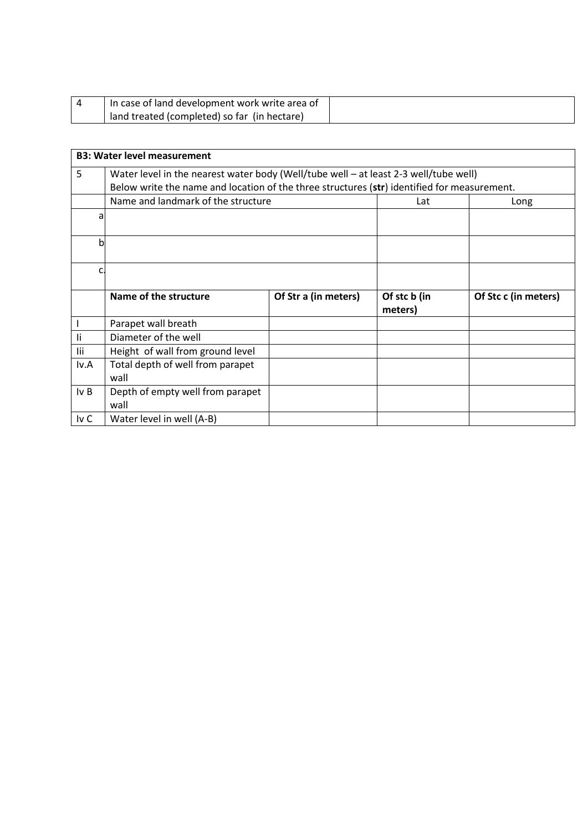| In case of land development work write area of |  |
|------------------------------------------------|--|
| land treated (completed) so far (in hectare)   |  |

|      | <b>B3: Water level measurement</b>                                                          |                      |                         |                      |  |  |  |  |
|------|---------------------------------------------------------------------------------------------|----------------------|-------------------------|----------------------|--|--|--|--|
| 5    | Water level in the nearest water body (Well/tube well - at least 2-3 well/tube well)        |                      |                         |                      |  |  |  |  |
|      | Below write the name and location of the three structures (str) identified for measurement. |                      |                         |                      |  |  |  |  |
|      | Name and landmark of the structure                                                          | Lat                  | Long                    |                      |  |  |  |  |
| a    |                                                                                             |                      |                         |                      |  |  |  |  |
| b    |                                                                                             |                      |                         |                      |  |  |  |  |
| c    |                                                                                             |                      |                         |                      |  |  |  |  |
|      | Name of the structure                                                                       | Of Str a (in meters) | Of stc b (in<br>meters) | Of Stc c (in meters) |  |  |  |  |
|      | Parapet wall breath                                                                         |                      |                         |                      |  |  |  |  |
| Ιi   | Diameter of the well                                                                        |                      |                         |                      |  |  |  |  |
| lii  | Height of wall from ground level                                                            |                      |                         |                      |  |  |  |  |
| lv.A | Total depth of well from parapet<br>wall                                                    |                      |                         |                      |  |  |  |  |
| Iv B | Depth of empty well from parapet<br>wall                                                    |                      |                         |                      |  |  |  |  |
| Iv C | Water level in well (A-B)                                                                   |                      |                         |                      |  |  |  |  |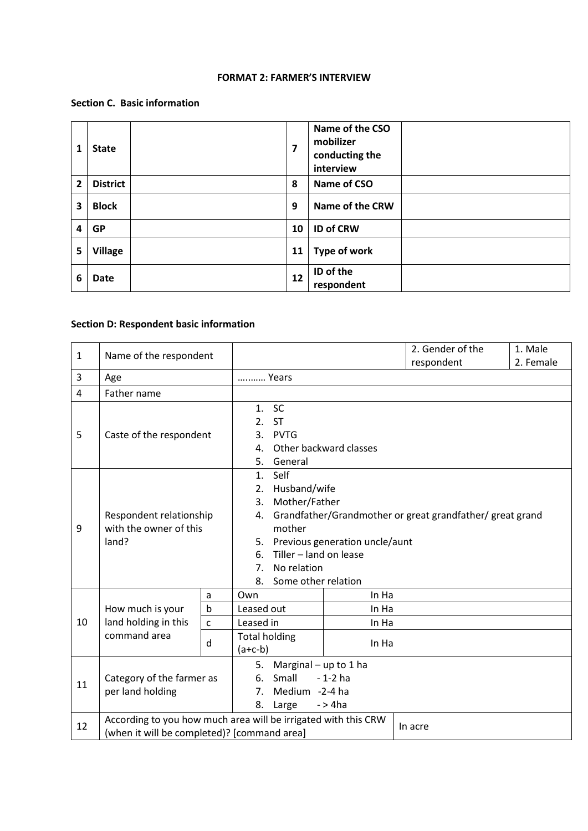#### **FORMAT 2: FARMER'S INTERVIEW**

### **Section C. Basic information**

| 1              | <b>State</b>    | $\overline{\mathbf{z}}$ | Name of the CSO<br>mobilizer<br>conducting the<br>interview |  |
|----------------|-----------------|-------------------------|-------------------------------------------------------------|--|
| $\overline{2}$ | <b>District</b> | 8                       | Name of CSO                                                 |  |
| 3              | <b>Block</b>    | 9                       | Name of the CRW                                             |  |
| 4              | <b>GP</b>       | 10                      | <b>ID of CRW</b>                                            |  |
| 5              | <b>Village</b>  | 11                      | Type of work                                                |  |
| 6              | Date            | 12                      | ID of the<br>respondent                                     |  |

### **Section D: Respondent basic information**

| $\mathbf{1}$ | Name of the respondent                                                                                        |              |                                                                                                                                                                                                                                                                            |       | 2. Gender of the<br>respondent | 1. Male<br>2. Female |  |
|--------------|---------------------------------------------------------------------------------------------------------------|--------------|----------------------------------------------------------------------------------------------------------------------------------------------------------------------------------------------------------------------------------------------------------------------------|-------|--------------------------------|----------------------|--|
| 3            | Age                                                                                                           |              | Years                                                                                                                                                                                                                                                                      |       |                                |                      |  |
| 4            | Father name                                                                                                   |              |                                                                                                                                                                                                                                                                            |       |                                |                      |  |
| 5            | Caste of the respondent                                                                                       |              | 1. SC<br>2. ST<br>3. PVTG<br>Other backward classes<br>$\mathbf{4}$ .<br>General<br>5.                                                                                                                                                                                     |       |                                |                      |  |
| 9            | Respondent relationship<br>with the owner of this<br>land?                                                    |              | Self<br>1.<br>Husband/wife<br>2.<br>Mother/Father<br>3.<br>Grandfather/Grandmother or great grandfather/ great grand<br>4.<br>mother<br>Previous generation uncle/aunt<br>5.<br>Tiller - land on lease<br>6.<br>No relation<br>7 <sub>1</sub><br>Some other relation<br>8. |       |                                |                      |  |
|              | How much is your<br>land holding in this<br>command area                                                      | a            | Own                                                                                                                                                                                                                                                                        | In Ha |                                |                      |  |
|              |                                                                                                               | $\mathsf b$  | Leased out<br>In Ha                                                                                                                                                                                                                                                        |       |                                |                      |  |
| 10           |                                                                                                               | $\mathsf{C}$ | Leased in<br>In Ha                                                                                                                                                                                                                                                         |       |                                |                      |  |
|              |                                                                                                               | d            | <b>Total holding</b><br>In Ha<br>$(a+c-b)$                                                                                                                                                                                                                                 |       |                                |                      |  |
| 11           | Category of the farmer as<br>per land holding                                                                 |              | Marginal $-$ up to 1 ha<br>5.<br>Small<br>$-1-2$ ha<br>6.<br>7 <sup>1</sup><br>Medium -2-4 ha<br>8.<br>$-$ > 4 $ha$<br>Large                                                                                                                                               |       |                                |                      |  |
| 12           | According to you how much area will be irrigated with this CRW<br>(when it will be completed)? [command area] |              |                                                                                                                                                                                                                                                                            |       | In acre                        |                      |  |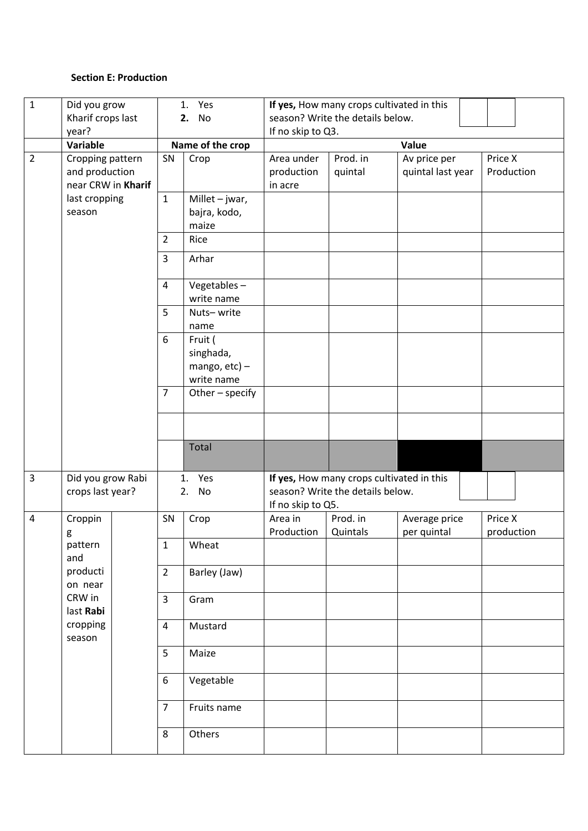### **Section E: Production**

| $\mathbf{1}$   | Did you grow                                             | 1. Yes           |                                                        | If yes, How many crops cultivated in this             |                                           |                                   |                       |  |
|----------------|----------------------------------------------------------|------------------|--------------------------------------------------------|-------------------------------------------------------|-------------------------------------------|-----------------------------------|-----------------------|--|
|                | Kharif crops last<br>2. No                               |                  | season? Write the details below.                       |                                                       |                                           |                                   |                       |  |
|                | year?                                                    |                  |                                                        | If no skip to Q3.                                     |                                           |                                   |                       |  |
|                | Variable                                                 | Name of the crop |                                                        | Value                                                 |                                           |                                   |                       |  |
| $\overline{2}$ | Cropping pattern<br>and production<br>near CRW in Kharif | SN               | Crop                                                   | Area under<br>production<br>in acre                   | Prod. in<br>quintal                       | Av price per<br>quintal last year | Price X<br>Production |  |
|                | last cropping                                            | $\mathbf{1}$     | Millet $-$ jwar,                                       |                                                       |                                           |                                   |                       |  |
|                | season                                                   |                  | bajra, kodo,<br>maize                                  |                                                       |                                           |                                   |                       |  |
|                |                                                          | $\overline{2}$   | Rice                                                   |                                                       |                                           |                                   |                       |  |
|                |                                                          | $\overline{3}$   | Arhar                                                  |                                                       |                                           |                                   |                       |  |
|                |                                                          | 4                | Vegetables-<br>write name                              |                                                       |                                           |                                   |                       |  |
|                |                                                          | 5                | Nuts-write<br>name                                     |                                                       |                                           |                                   |                       |  |
|                |                                                          | 6                | Fruit (<br>singhada,<br>mango, $etc$ ) –<br>write name |                                                       |                                           |                                   |                       |  |
|                |                                                          | $\overline{7}$   | Other - specify                                        |                                                       |                                           |                                   |                       |  |
|                |                                                          |                  |                                                        |                                                       |                                           |                                   |                       |  |
|                |                                                          |                  | <b>Total</b>                                           |                                                       |                                           |                                   |                       |  |
| $\overline{3}$ | Did you grow Rabi                                        |                  | Yes<br>1.                                              |                                                       | If yes, How many crops cultivated in this |                                   |                       |  |
|                | crops last year?<br>2. No                                |                  |                                                        | season? Write the details below.<br>If no skip to Q5. |                                           |                                   |                       |  |
| $\pmb{4}$      | Croppin<br>g                                             | SN               | Crop                                                   | Area in<br>Production                                 | Prod. in<br>Quintals                      | Average price<br>per quintal      | Price X<br>production |  |
|                | pattern<br>and                                           | $\mathbf{1}$     | Wheat                                                  |                                                       |                                           |                                   |                       |  |
|                | producti<br>on near                                      | $\overline{2}$   | Barley (Jaw)                                           |                                                       |                                           |                                   |                       |  |
|                | CRW in<br>last Rabi                                      | $\overline{3}$   | Gram                                                   |                                                       |                                           |                                   |                       |  |
|                | cropping<br>season                                       | $\overline{4}$   | Mustard                                                |                                                       |                                           |                                   |                       |  |
|                |                                                          | 5                | Maize                                                  |                                                       |                                           |                                   |                       |  |
|                |                                                          | $\boldsymbol{6}$ | Vegetable                                              |                                                       |                                           |                                   |                       |  |
|                |                                                          | $\overline{7}$   | Fruits name                                            |                                                       |                                           |                                   |                       |  |
|                |                                                          | 8                | Others                                                 |                                                       |                                           |                                   |                       |  |